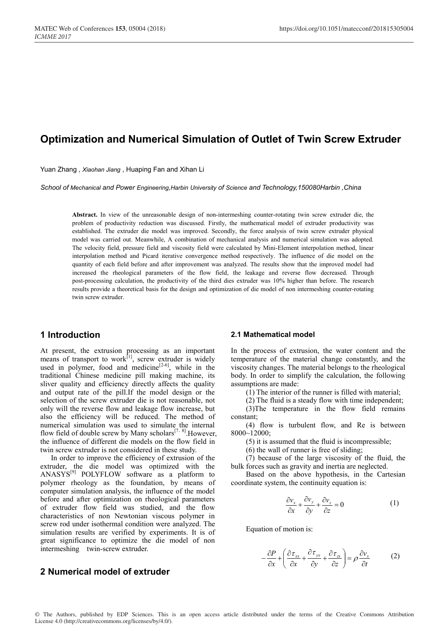# **Optimization and Numerical Simulation of Outlet of Twin Screw Extruder**

Yuan Zhang , *Xiaohan Jiang* , Huaping Fan and Xihan Li

*School of Mechanical and Power Engineering,Harbin University of Science and Technology,150080Harbin ,China*

**Abstract.** In view of the unreasonable design of non-intermeshing counter-rotating twin screw extruder die, the problem of productivity reduction was discussed. Firstly, the mathematical model of extruder productivity was established. The extruder die model was improved. Secondly, the force analysis of twin screw extruder physical model was carried out. Meanwhile, A combination of mechanical analysis and numerical simulation was adopted. The velocity field, pressure field and viscosity field were calculated by Mini-Element interpolation method, linear interpolation method and Picard iterative convergence method respectively. The influence of die model on the quantity of each field before and after improvement was analyzed. The results show that the improved model had increased the rheological parameters of the flow field, the leakage and reverse flow decreased. Through post-processing calculation, the productivity of the third dies extruder was 10% higher than before. The research results provide a theoretical basis for the design and optimization of die model of non intermeshing counter-rotating twin screw extruder.

## **1 Introduction**

At present, the extrusion processing as an important means of transport to work $\left[1\right]$ , screw extruder is widely used in polymer, food and medicine<sup> $[2-6]$ </sup>, while in the traditional Chinese medicine pill making machine, its sliver quality and efficiency directly affects the quality and output rate of the pill.If the model design or the selection of the screw extruder die is not reasonable, not only will the reverse flow and leakage flow increase, but also the efficiency will be reduced. The method of numerical simulation was used to simulate the internal flow field of double screw by Many scholars $[7, 8]$ . However, the influence of different die models on the flow field in twin screw extruder is not considered in these study.

In order to improve the efficiency of extrusion of the extruder, the die model was optimized with the ANASYS<sup>[9]</sup> POLYFLOW software as a platform to polymer rheology as the foundation, by means of computer simulation analysis, the influence of the model before and after optimization on rheological parameters of extruder flow field was studied, and the flow characteristics of non Newtonian viscous polymer in screw rod under isothermal condition were analyzed. The simulation results are verified by experiments. It is of great significance to optimize the die model of non intermeshing twin-screw extruder.

## **2 Numerical model of extruder**

#### **2.1 Mathematical model**

In the process of extrusion, the water content and the temperature of the material change constantly, and the viscosity changes. The material belongs to the rheological body. In order to simplify the calculation, the following assumptions are made:

(1) The interior of the runner is filled with material;

(2) The fluid is a steady flow with time independent;

(3)The temperature in the flow field remains constant;

(4) flow is turbulent flow, and Re is between 8000~12000;

(5) it is assumed that the fluid is incompressible;

(6) the wall of runner is free of sliding;

(7) because of the large viscosity of the fluid, the bulk forces such as gravity and inertia are neglected.

Based on the above hypothesis, in the Cartesian coordinate system, the continuity equation is:

$$
\frac{\partial v_x}{\partial x} + \frac{\partial v_y}{\partial y} + \frac{\partial v_z}{\partial z} = 0
$$
 (1)

Equation of motion is:

$$
-\frac{\partial P}{\partial x} + \left(\frac{\partial \tau_{xx}}{\partial x} + \frac{\partial \tau_{yx}}{\partial y} + \frac{\partial \tau_{zx}}{\partial z}\right) = \rho \frac{\partial v_x}{\partial t}
$$
 (2)

© The Authors, published by EDP Sciences. This is an open access article distributed under the terms of the Creative Commons Attribution License 4.0 (http://creativecommons.org/licenses/by/4.0/).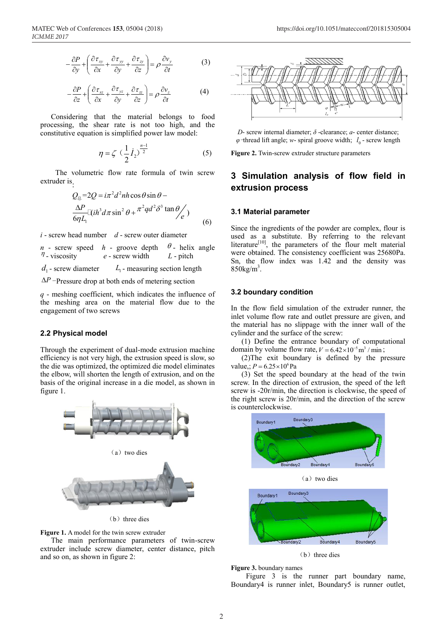$$
-\frac{\partial P}{\partial y} + \left(\frac{\partial \tau_{xy}}{\partial x} + \frac{\partial \tau_{yy}}{\partial y} + \frac{\partial \tau_{zy}}{\partial z}\right) = \rho \frac{\partial v_y}{\partial t}
$$
(3)

$$
-\frac{\partial P}{\partial z} + \left(\frac{\partial \tau_{xz}}{\partial x} + \frac{\partial \tau_{yz}}{\partial y} + \frac{\partial \tau_{zz}}{\partial z}\right) = \rho \frac{\partial v_z}{\partial t}
$$
(4)

Considering that the material belongs to food processing, the shear rate is not too high, and the constitutive equation is simplified power law model:

$$
\eta = \zeta \left(\frac{1}{2} \dot{I}_2\right)^{\frac{n-1}{2}} \tag{5}
$$

The volumetric flow rate formula of twin screw extruder is :

$$
Q_{\hat{\mathbb{E}}} = 2Q = i\pi^2 d^2 n h \cos \theta \sin \theta -
$$
  
\n
$$
\frac{\Delta P}{6\eta L_1} [(\dot{h}^3 d \pi \sin^2 \theta + \pi^2 q d^2 \delta^3 \tan \theta / e)
$$
\n(6)

*i* - screw head number *d* - screw outer diameter

 $n$  - screw speed *h* - groove depth  $\theta$  - helix angle  $\eta$ - viscosity e - screw width  $L$  - pitch

 $d_1$ - screw diameter  $L_1$ - measuring section length

 $\Delta P$  -Pressure drop at both ends of metering section

*q* - meshing coefficient, which indicates the influence of the meshing area on the material flow due to the engagement of two screws

### **2.2 Physical model**

Through the experiment of dual-mode extrusion machine efficiency is not very high, the extrusion speed is slow, so the die was optimized, the optimized die model eliminates the elbow, will shorten the length of extrusion, and on the basis of the original increase in a die model, as shown in figure 1.



(b) three dies

**Figure 1.** A model for the twin screw extruder

The main performance parameters of twin-screw extruder include screw diameter, center distance, pitch and so on, as shown in figure 2:



*D*- screw internal diameter; *δ* -clearance; *a*- center distance;  $\varphi$ -thread lift angle; *w*- spiral groove width;  $l_0$ - screw length

**Figure 2.** Twin-screw extruder structure parameters

## **3 Simulation analysis of flow field in extrusion process**

#### **3.1 Material parameter**

Since the ingredients of the powder are complex, flour is used as a substitute. By referring to the relevant literature<sup>[10]</sup>, the parameters of the flour melt material were obtained. The consistency coefficient was 25680Pa. Sn, the flow index was 1.42 and the density was  $850$ kg/m<sup>3</sup>.

### **3.2 boundary condition**

In the flow field simulation of the extruder runner, the inlet volume flow rate and outlet pressure are given, and the material has no slippage with the inner wall of the cylinder and the surface of the screw:

(1) Define the entrance boundary of computational domain by volume flow rate,  $V = 6.42 \times 10^{-5}$  m<sup>3</sup> / min;

(2)The exit boundary is defined by the pressure value.:  $P = 6.25 \times 10^6$  Pa

(3) Set the speed boundary at the head of the twin screw. In the direction of extrusion, the speed of the left screw is -20r/min, the direction is clockwise, the speed of the right screw is 20r/min, and the direction of the screw is counterclockwise.



 $(b)$  three dies

### **Figure 3.** boundary names

Figure 3 is the runner part boundary name, Boundary4 is runner inlet, Boundary5 is runner outlet,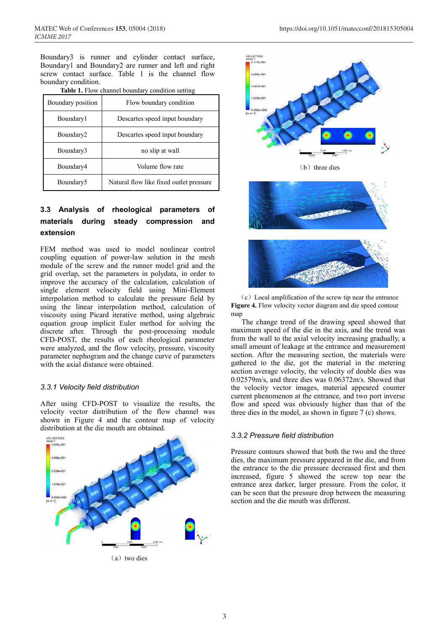Boundary3 is runner and cylinder contact surface, Boundary1 and Boundary2 are runner and left and right screw contact surface. Table 1 is the channel flow boundary condition.

| Table 1. Flow channel boundary condition setting |  |
|--------------------------------------------------|--|
|--------------------------------------------------|--|

| Boundary position | Flow boundary condition                 |  |  |  |
|-------------------|-----------------------------------------|--|--|--|
| Boundary1         | Descartes speed input boundary          |  |  |  |
| Boundary2         | Descartes speed input boundary          |  |  |  |
| Boundary3         | no slip at wall                         |  |  |  |
| Boundary4         | Volume flow rate                        |  |  |  |
| Boundary5         | Natural flow like fixed outlet pressure |  |  |  |

## **3.3 Analysis of rheological parameters materials during steady compression and extension**

FEM method was used to model nonlinear control coupling equation of power-law solution in the mesh module of the screw and the runner model grid and the grid overlap, set the parameters in polydata, in order to improve the accuracy of the calculation, calculation of single element velocity field using Mini-Element interpolation method to calculate the pressure field by using the linear interpolation method, calculation of viscosity using Picard iterative method, using algebraic equation group implicit Euler method for solving the discrete after. Through the post-processing module CFD-POST, the results of each rheological parameter were analyzed, and the flow velocity, pressure, viscosity parameter nephogram and the change curve of parameters with the axial distance were obtained.

### *3.3.1 Velocity field distribution*

After using CFD-POST to visualize the results, the velocity vector distribution of the flow channel was shown in Figure 4 and the contour map of velocity distribution at the die mouth are obtained.









 $(c)$  Local amplification of the screw tip near the entrance **Figure 4.** Flow velocity vector diagram and die speed contour mar

The change trend of the drawing speed showed that maximum speed of the die in the axis, and the trend was from the wall to the axial velocity increasing gradually, a small amount of leakage at the entrance and measurement section. After the measuring section, the materials were gathered to the die, got the material in the metering section average velocity, the velocity of double dies was 0.02579m/s, and three dies was 0.06372m/s. Showed that the velocity vector images, material appeared counter current phenomenon at the entrance, and two port inverse flow and speed was obviously higher than that of the three dies in the model, as shown in figure 7 (c) shows.

#### *3.3.2 Pressure field distribution*

Pressure contours showed that both the two and the three dies, the maximum pressure appeared in the die, and from the entrance to the die pressure decreased first and then increased, figure 5 showed the screw top near the entrance area darker, larger pressure. From the color, it can be seen that the pressure drop between the measuring section and the die mouth was different.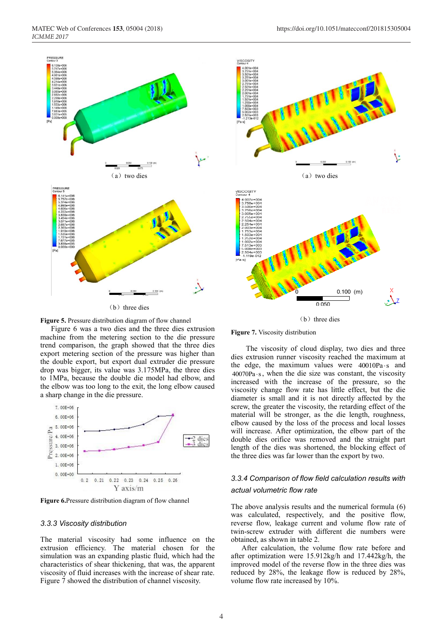

(b) three dies



Figure 6 was a two dies and the three dies extrusion machine from the metering section to the die pressure trend comparison, the graph showed that the three dies export metering section of the pressure was higher than the double export, but export dual extruder die pressure drop was bigger, its value was 3.175MPa, the three dies to 1MPa, because the double die model had elbow, and the elbow was too long to the exit, the long elbow caused a sharp change in the die pressure.



**Figure 6.**Pressure distribution diagram of flow channel

### *3.3.3 Viscosity distribution*

The material viscosity had some influence on the extrusion efficiency. The material chosen for the simulation was an expanding plastic fluid, which had the characteristics of shear thickening, that was, the apparent viscosity of fluid increases with the increase of shear rate. Figure 7 showed the distribution of channel viscosity.



 $(b)$  three dies

**Figure 7.** Viscosity distribution

The viscosity of cloud display, two dies and three dies extrusion runner viscosity reached the maximum at the edge, the maximum values were  $40010Pa \cdot s$  and  $40070Pa·s$ , when the die size was constant, the viscosity increased with the increase of the pressure, so the viscosity change flow rate has little effect, but the die diameter is small and it is not directly affected by the screw, the greater the viscosity, the retarding effect of the material will be stronger, as the die length, roughness, elbow caused by the loss of the process and local losses will increase. After optimization, the elbow part of the double dies orifice was removed and the straight part length of the dies was shortened, the blocking effect of the three dies was far lower than the export by two.

## *3.3.4 Comparison of flow field calculation results with actual volumetric flow rate*

The above analysis results and the numerical formula (6) was calculated, respectively, and the positive flow, reverse flow, leakage current and volume flow rate of twin-screw extruder with different die numbers were obtained, as shown in table 2.

After calculation, the volume flow rate before and after optimization were 15.912kg/h and 17.442kg/h, the improved model of the reverse flow in the three dies was reduced by 28%, the leakage flow is reduced by 28%, volume flow rate increased by 10%.